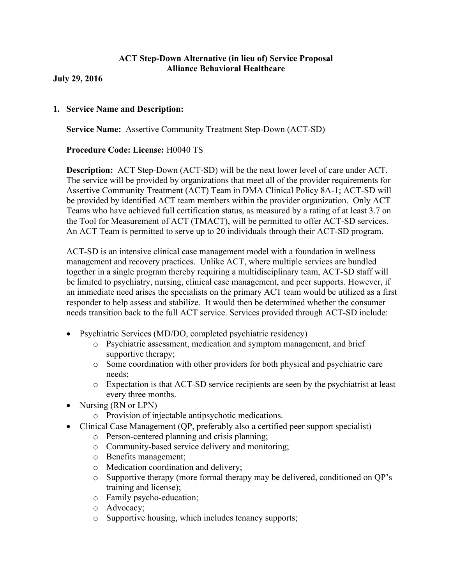# **ACT Step-Down Alternative (in lieu of) Service Proposal Alliance Behavioral Healthcare**

**July 29, 2016**

### **1. Service Name and Description:**

**Service Name:** Assertive Community Treatment Step-Down (ACT-SD)

### **Procedure Code: License:** H0040 TS

**Description:** ACT Step-Down (ACT-SD) will be the next lower level of care under ACT. The service will be provided by organizations that meet all of the provider requirements for Assertive Community Treatment (ACT) Team in DMA Clinical Policy 8A-1; ACT-SD will be provided by identified ACT team members within the provider organization. Only ACT Teams who have achieved full certification status, as measured by a rating of at least 3.7 on the Tool for Measurement of ACT (TMACT), will be permitted to offer ACT-SD services. An ACT Team is permitted to serve up to 20 individuals through their ACT-SD program.

ACT-SD is an intensive clinical case management model with a foundation in wellness management and recovery practices. Unlike ACT, where multiple services are bundled together in a single program thereby requiring a multidisciplinary team, ACT-SD staff will be limited to psychiatry, nursing, clinical case management, and peer supports. However, if an immediate need arises the specialists on the primary ACT team would be utilized as a first responder to help assess and stabilize. It would then be determined whether the consumer needs transition back to the full ACT service. Services provided through ACT-SD include:

- Psychiatric Services (MD/DO, completed psychiatric residency)
	- o Psychiatric assessment, medication and symptom management, and brief supportive therapy;
	- o Some coordination with other providers for both physical and psychiatric care needs;
	- o Expectation is that ACT-SD service recipients are seen by the psychiatrist at least every three months.
- Nursing (RN or LPN)
	- o Provision of injectable antipsychotic medications.
- ∑ Clinical Case Management (QP, preferably also a certified peer support specialist)
	- o Person-centered planning and crisis planning;
	- o Community-based service delivery and monitoring;
	- o Benefits management;
	- o Medication coordination and delivery;
	- o Supportive therapy (more formal therapy may be delivered, conditioned on QP's training and license);
	- o Family psycho-education;
	- o Advocacy;
	- o Supportive housing, which includes tenancy supports;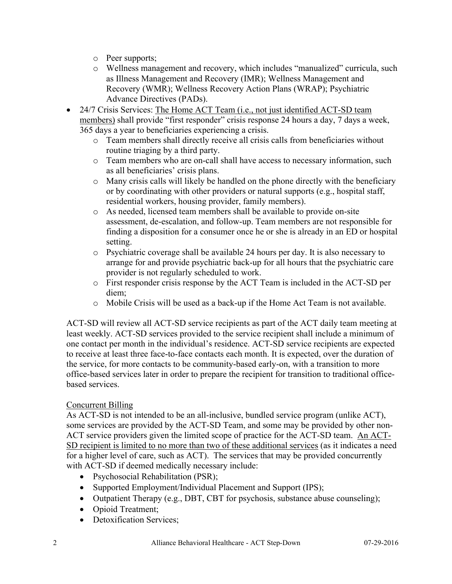- o Peer supports;
- o Wellness management and recovery, which includes "manualized" curricula, such as Illness Management and Recovery (IMR); Wellness Management and Recovery (WMR); Wellness Recovery Action Plans (WRAP); Psychiatric Advance Directives (PADs).
- 24/7 Crisis Services: The Home ACT Team (i.e., not just identified ACT-SD team members) shall provide "first responder" crisis response 24 hours a day, 7 days a week, 365 days a year to beneficiaries experiencing a crisis.
	- o Team members shall directly receive all crisis calls from beneficiaries without routine triaging by a third party.
	- o Team members who are on-call shall have access to necessary information, such as all beneficiaries' crisis plans.
	- $\circ$  Many crisis calls will likely be handled on the phone directly with the beneficiary or by coordinating with other providers or natural supports (e.g., hospital staff, residential workers, housing provider, family members).
	- o As needed, licensed team members shall be available to provide on-site assessment, de-escalation, and follow-up. Team members are not responsible for finding a disposition for a consumer once he or she is already in an ED or hospital setting.
	- o Psychiatric coverage shall be available 24 hours per day. It is also necessary to arrange for and provide psychiatric back-up for all hours that the psychiatric care provider is not regularly scheduled to work.
	- o First responder crisis response by the ACT Team is included in the ACT-SD per diem;
	- o Mobile Crisis will be used as a back-up if the Home Act Team is not available.

ACT-SD will review all ACT-SD service recipients as part of the ACT daily team meeting at least weekly. ACT-SD services provided to the service recipient shall include a minimum of one contact per month in the individual's residence. ACT-SD service recipients are expected to receive at least three face-to-face contacts each month. It is expected, over the duration of the service, for more contacts to be community-based early-on, with a transition to more office-based services later in order to prepare the recipient for transition to traditional officebased services.

# Concurrent Billing

As ACT-SD is not intended to be an all-inclusive, bundled service program (unlike ACT), some services are provided by the ACT-SD Team, and some may be provided by other non-ACT service providers given the limited scope of practice for the ACT-SD team. An ACT-SD recipient is limited to no more than two of these additional services (as it indicates a need for a higher level of care, such as ACT). The services that may be provided concurrently with ACT-SD if deemed medically necessary include:

- Psychosocial Rehabilitation (PSR);
- Supported Employment/Individual Placement and Support (IPS);
- Outpatient Therapy (e.g., DBT, CBT for psychosis, substance abuse counseling);
- Opioid Treatment;
- Detoxification Services: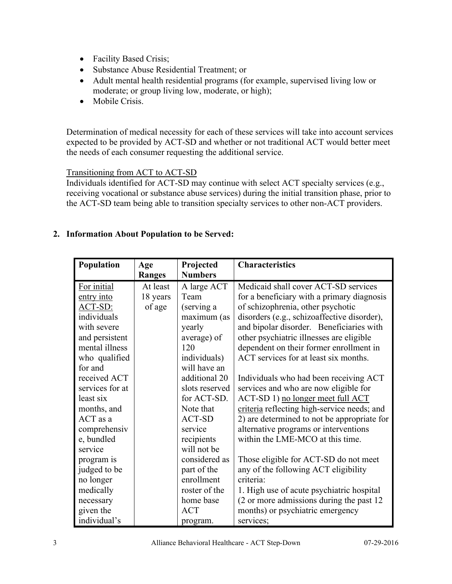- Facility Based Crisis;
- ∑ Substance Abuse Residential Treatment; or
- ∑ Adult mental health residential programs (for example, supervised living low or moderate; or group living low, moderate, or high);
- Mobile Crisis.

Determination of medical necessity for each of these services will take into account services expected to be provided by ACT-SD and whether or not traditional ACT would better meet the needs of each consumer requesting the additional service.

### Transitioning from ACT to ACT-SD

Individuals identified for ACT-SD may continue with select ACT specialty services (e.g., receiving vocational or substance abuse services) during the initial transition phase, prior to the ACT-SD team being able to transition specialty services to other non-ACT providers.

# **2. Information About Population to be Served:**

| Population      | Age      | Projected      | <b>Characteristics</b>                      |  |
|-----------------|----------|----------------|---------------------------------------------|--|
|                 | Ranges   | <b>Numbers</b> |                                             |  |
| For initial     | At least | A large ACT    | Medicaid shall cover ACT-SD services        |  |
| entry into      | 18 years | Team           | for a beneficiary with a primary diagnosis  |  |
| ACT-SD:         | of age   | (serving a     | of schizophrenia, other psychotic           |  |
| individuals     |          | maximum (as    | disorders (e.g., schizoaffective disorder), |  |
| with severe     |          | yearly         | and bipolar disorder. Beneficiaries with    |  |
| and persistent  |          | average) of    | other psychiatric illnesses are eligible    |  |
| mental illness  |          | 120            | dependent on their former enrollment in     |  |
| who qualified   |          | individuals)   | ACT services for at least six months.       |  |
| for and         |          | will have an   |                                             |  |
| received ACT    |          | additional 20  | Individuals who had been receiving ACT      |  |
| services for at |          | slots reserved | services and who are now eligible for       |  |
| least six       |          | for ACT-SD.    | ACT-SD 1) no longer meet full ACT           |  |
| months, and     |          | Note that      | criteria reflecting high-service needs; and |  |
| ACT as a        |          | <b>ACT-SD</b>  | 2) are determined to not be appropriate for |  |
| comprehensiv    |          | service        | alternative programs or interventions       |  |
| e, bundled      |          | recipients     | within the LME-MCO at this time.            |  |
| service         |          | will not be    |                                             |  |
| program is      |          | considered as  | Those eligible for ACT-SD do not meet       |  |
| judged to be    |          | part of the    | any of the following ACT eligibility        |  |
| no longer       |          | enrollment     | criteria:                                   |  |
| medically       |          | roster of the  | 1. High use of acute psychiatric hospital   |  |
| necessary       |          | home base      | (2 or more admissions during the past 12)   |  |
| given the       |          | <b>ACT</b>     | months) or psychiatric emergency            |  |
| individual's    |          | program.       | services;                                   |  |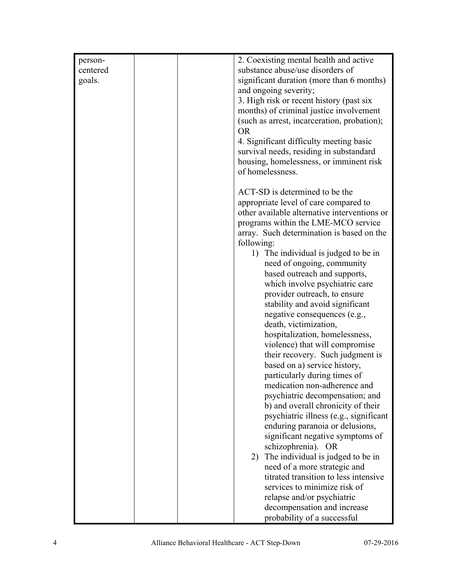| 2. Coexisting mental health and active<br>person-                         |  |
|---------------------------------------------------------------------------|--|
| substance abuse/use disorders of<br>centered                              |  |
| significant duration (more than 6 months)<br>goals.                       |  |
| and ongoing severity;                                                     |  |
| 3. High risk or recent history (past six                                  |  |
| months) of criminal justice involvement                                   |  |
| (such as arrest, incarceration, probation);                               |  |
| <b>OR</b>                                                                 |  |
| 4. Significant difficulty meeting basic                                   |  |
| survival needs, residing in substandard                                   |  |
| housing, homelessness, or imminent risk                                   |  |
| of homelessness.                                                          |  |
|                                                                           |  |
| ACT-SD is determined to be the                                            |  |
| appropriate level of care compared to                                     |  |
| other available alternative interventions or                              |  |
| programs within the LME-MCO service                                       |  |
| array. Such determination is based on the                                 |  |
| following:                                                                |  |
| 1) The individual is judged to be in                                      |  |
| need of ongoing, community                                                |  |
| based outreach and supports,                                              |  |
| which involve psychiatric care                                            |  |
| provider outreach, to ensure                                              |  |
| stability and avoid significant                                           |  |
| negative consequences (e.g.,                                              |  |
| death, victimization,                                                     |  |
| hospitalization, homelessness,                                            |  |
| violence) that will compromise                                            |  |
| their recovery. Such judgment is                                          |  |
| based on a) service history,                                              |  |
| particularly during times of                                              |  |
| medication non-adherence and                                              |  |
| psychiatric decompensation; and                                           |  |
| b) and overall chronicity of their                                        |  |
| psychiatric illness (e.g., significant<br>enduring paranoia or delusions, |  |
| significant negative symptoms of                                          |  |
| schizophrenia). OR                                                        |  |
| 2) The individual is judged to be in                                      |  |
| need of a more strategic and                                              |  |
| titrated transition to less intensive                                     |  |
| services to minimize risk of                                              |  |
| relapse and/or psychiatric                                                |  |
| decompensation and increase                                               |  |
|                                                                           |  |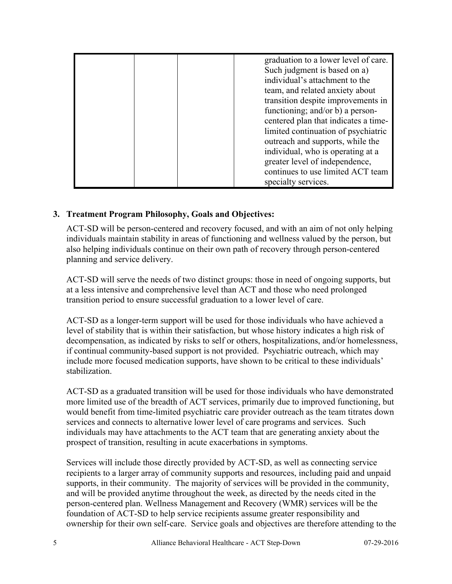| graduation to a lower level of care. |
|--------------------------------------|
| Such judgment is based on a)         |
| individual's attachment to the       |
| team, and related anxiety about      |
| transition despite improvements in   |
| functioning; and/or b) a person-     |
| centered plan that indicates a time- |
| limited continuation of psychiatric  |
| outreach and supports, while the     |
| individual, who is operating at a    |
| greater level of independence,       |
| continues to use limited ACT team    |
| specialty services.                  |

# **3. Treatment Program Philosophy, Goals and Objectives:**

ACT-SD will be person-centered and recovery focused, and with an aim of not only helping individuals maintain stability in areas of functioning and wellness valued by the person, but also helping individuals continue on their own path of recovery through person-centered planning and service delivery.

ACT-SD will serve the needs of two distinct groups: those in need of ongoing supports, but at a less intensive and comprehensive level than ACT and those who need prolonged transition period to ensure successful graduation to a lower level of care.

ACT-SD as a longer-term support will be used for those individuals who have achieved a level of stability that is within their satisfaction, but whose history indicates a high risk of decompensation, as indicated by risks to self or others, hospitalizations, and/or homelessness, if continual community-based support is not provided. Psychiatric outreach, which may include more focused medication supports, have shown to be critical to these individuals' stabilization.

ACT-SD as a graduated transition will be used for those individuals who have demonstrated more limited use of the breadth of ACT services, primarily due to improved functioning, but would benefit from time-limited psychiatric care provider outreach as the team titrates down services and connects to alternative lower level of care programs and services. Such individuals may have attachments to the ACT team that are generating anxiety about the prospect of transition, resulting in acute exacerbations in symptoms.

Services will include those directly provided by ACT-SD, as well as connecting service recipients to a larger array of community supports and resources, including paid and unpaid supports, in their community. The majority of services will be provided in the community, and will be provided anytime throughout the week, as directed by the needs cited in the person-centered plan. Wellness Management and Recovery (WMR) services will be the foundation of ACT-SD to help service recipients assume greater responsibility and ownership for their own self-care. Service goals and objectives are therefore attending to the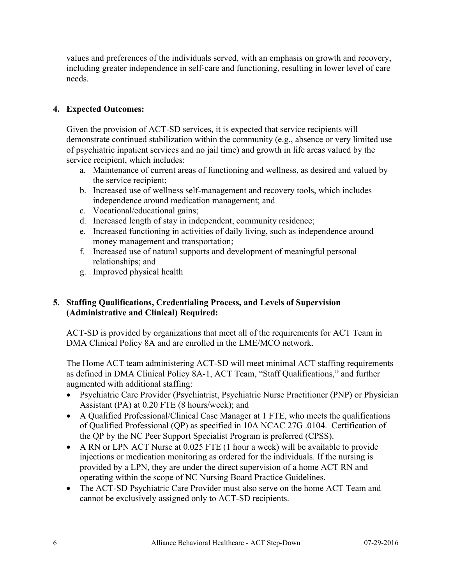values and preferences of the individuals served, with an emphasis on growth and recovery, including greater independence in self-care and functioning, resulting in lower level of care needs.

# **4. Expected Outcomes:**

Given the provision of ACT-SD services, it is expected that service recipients will demonstrate continued stabilization within the community (e.g., absence or very limited use of psychiatric inpatient services and no jail time) and growth in life areas valued by the service recipient, which includes:

- a. Maintenance of current areas of functioning and wellness, as desired and valued by the service recipient;
- b. Increased use of wellness self-management and recovery tools, which includes independence around medication management; and
- c. Vocational/educational gains;
- d. Increased length of stay in independent, community residence;
- e. Increased functioning in activities of daily living, such as independence around money management and transportation;
- f. Increased use of natural supports and development of meaningful personal relationships; and
- g. Improved physical health

# **5. Staffing Qualifications, Credentialing Process, and Levels of Supervision (Administrative and Clinical) Required:**

ACT-SD is provided by organizations that meet all of the requirements for ACT Team in DMA Clinical Policy 8A and are enrolled in the LME/MCO network.

The Home ACT team administering ACT-SD will meet minimal ACT staffing requirements as defined in DMA Clinical Policy 8A-1, ACT Team, "Staff Qualifications," and further augmented with additional staffing:

- Psychiatric Care Provider (Psychiatrist, Psychiatric Nurse Practitioner (PNP) or Physician Assistant (PA) at 0.20 FTE (8 hours/week); and
- A Qualified Professional/Clinical Case Manager at 1 FTE, who meets the qualifications of Qualified Professional (QP) as specified in 10A NCAC 27G .0104. Certification of the QP by the NC Peer Support Specialist Program is preferred (CPSS).
- ∑ A RN or LPN ACT Nurse at 0.025 FTE (1 hour a week) will be available to provide injections or medication monitoring as ordered for the individuals. If the nursing is provided by a LPN, they are under the direct supervision of a home ACT RN and operating within the scope of NC Nursing Board Practice Guidelines.
- The ACT-SD Psychiatric Care Provider must also serve on the home ACT Team and cannot be exclusively assigned only to ACT-SD recipients.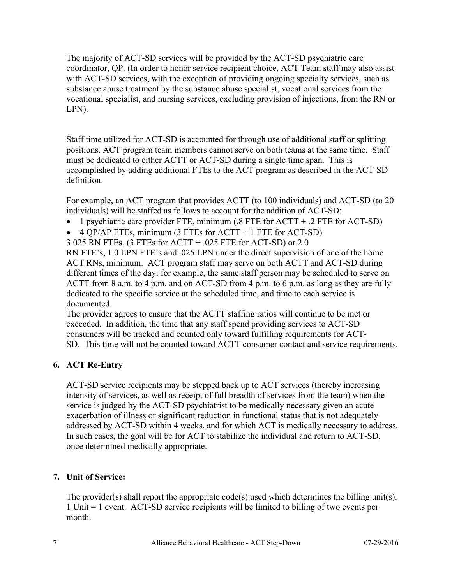The majority of ACT-SD services will be provided by the ACT-SD psychiatric care coordinator, QP. (In order to honor service recipient choice, ACT Team staff may also assist with ACT-SD services, with the exception of providing ongoing specialty services, such as substance abuse treatment by the substance abuse specialist, vocational services from the vocational specialist, and nursing services, excluding provision of injections, from the RN or LPN).

Staff time utilized for ACT-SD is accounted for through use of additional staff or splitting positions. ACT program team members cannot serve on both teams at the same time. Staff must be dedicated to either ACTT or ACT-SD during a single time span. This is accomplished by adding additional FTEs to the ACT program as described in the ACT-SD definition.

For example, an ACT program that provides ACTT (to 100 individuals) and ACT-SD (to 20 individuals) will be staffed as follows to account for the addition of ACT-SD:

- ∑ 1 psychiatric care provider FTE, minimum (.8 FTE for ACTT + .2 FTE for ACT-SD)
- $\bullet$  4 QP/AP FTEs, minimum (3 FTEs for ACTT + 1 FTE for ACT-SD)

3.025 RN FTEs, (3 FTEs for ACTT + .025 FTE for ACT-SD) or 2.0

RN FTE's, 1.0 LPN FTE's and .025 LPN under the direct supervision of one of the home ACT RNs, minimum. ACT program staff may serve on both ACTT and ACT-SD during different times of the day; for example, the same staff person may be scheduled to serve on ACTT from 8 a.m. to 4 p.m. and on ACT-SD from 4 p.m. to 6 p.m. as long as they are fully dedicated to the specific service at the scheduled time, and time to each service is documented.

The provider agrees to ensure that the ACTT staffing ratios will continue to be met or exceeded. In addition, the time that any staff spend providing services to ACT-SD consumers will be tracked and counted only toward fulfilling requirements for ACT-SD. This time will not be counted toward ACTT consumer contact and service requirements.

# **6. ACT Re-Entry**

ACT-SD service recipients may be stepped back up to ACT services (thereby increasing intensity of services, as well as receipt of full breadth of services from the team) when the service is judged by the ACT-SD psychiatrist to be medically necessary given an acute exacerbation of illness or significant reduction in functional status that is not adequately addressed by ACT-SD within 4 weeks, and for which ACT is medically necessary to address. In such cases, the goal will be for ACT to stabilize the individual and return to ACT-SD, once determined medically appropriate.

# **7. Unit of Service:**

The provider(s) shall report the appropriate code(s) used which determines the billing unit(s). 1 Unit = 1 event. ACT-SD service recipients will be limited to billing of two events per month.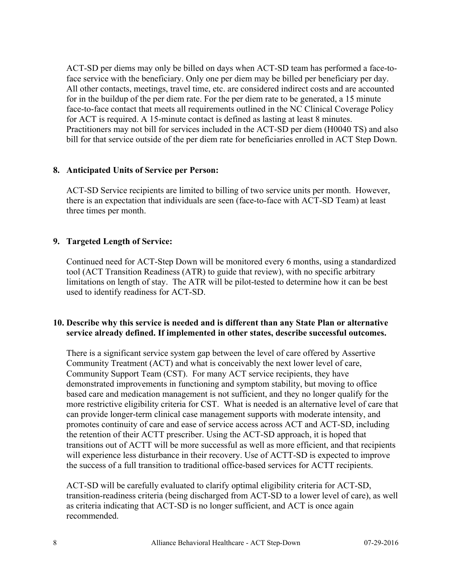ACT-SD per diems may only be billed on days when ACT-SD team has performed a face-toface service with the beneficiary. Only one per diem may be billed per beneficiary per day. All other contacts, meetings, travel time, etc. are considered indirect costs and are accounted for in the buildup of the per diem rate. For the per diem rate to be generated, a 15 minute face-to-face contact that meets all requirements outlined in the NC Clinical Coverage Policy for ACT is required. A 15-minute contact is defined as lasting at least 8 minutes. Practitioners may not bill for services included in the ACT-SD per diem (H0040 TS) and also bill for that service outside of the per diem rate for beneficiaries enrolled in ACT Step Down.

# **8. Anticipated Units of Service per Person:**

ACT-SD Service recipients are limited to billing of two service units per month. However, there is an expectation that individuals are seen (face-to-face with ACT-SD Team) at least three times per month.

### **9. Targeted Length of Service:**

Continued need for ACT-Step Down will be monitored every 6 months, using a standardized tool (ACT Transition Readiness (ATR) to guide that review), with no specific arbitrary limitations on length of stay. The ATR will be pilot-tested to determine how it can be best used to identify readiness for ACT-SD.

### **10. Describe why this service is needed and is different than any State Plan or alternative service already defined. If implemented in other states, describe successful outcomes.**

There is a significant service system gap between the level of care offered by Assertive Community Treatment (ACT) and what is conceivably the next lower level of care, Community Support Team (CST). For many ACT service recipients, they have demonstrated improvements in functioning and symptom stability, but moving to office based care and medication management is not sufficient, and they no longer qualify for the more restrictive eligibility criteria for CST. What is needed is an alternative level of care that can provide longer-term clinical case management supports with moderate intensity, and promotes continuity of care and ease of service access across ACT and ACT-SD, including the retention of their ACTT prescriber. Using the ACT-SD approach, it is hoped that transitions out of ACTT will be more successful as well as more efficient, and that recipients will experience less disturbance in their recovery. Use of ACTT-SD is expected to improve the success of a full transition to traditional office-based services for ACTT recipients.

ACT-SD will be carefully evaluated to clarify optimal eligibility criteria for ACT-SD, transition-readiness criteria (being discharged from ACT-SD to a lower level of care), as well as criteria indicating that ACT-SD is no longer sufficient, and ACT is once again recommended.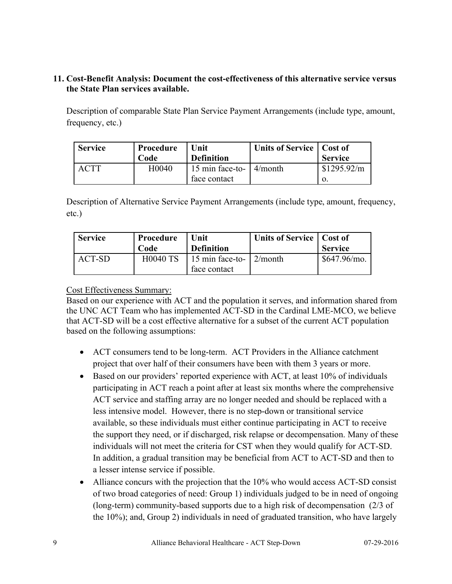# **11. Cost-Benefit Analysis: Document the cost-effectiveness of this alternative service versus the State Plan services available.**

Description of comparable State Plan Service Payment Arrangements (include type, amount, frequency, etc.)

| <b>Service</b> | Procedure<br>Code | Unit<br><b>Definition</b>                       | Units of Service   Cost of | <b>Service</b>    |
|----------------|-------------------|-------------------------------------------------|----------------------------|-------------------|
|                | H0040             | 15 min face-to- $\vert$ 4/month<br>face contact |                            | \$1295.92/m<br>О. |

Description of Alternative Service Payment Arrangements (include type, amount, frequency, etc.)

| <b>Service</b> | Procedure<br>Code | Unit<br><b>Definition</b>                       | Units of Service   Cost of | <b>Service</b> |
|----------------|-------------------|-------------------------------------------------|----------------------------|----------------|
| ACT-SD         | <b>H0040 TS</b>   | 15 min face-to- $\vert$ 2/month<br>face contact |                            | \$647.96/mo.   |

### Cost Effectiveness Summary:

Based on our experience with ACT and the population it serves, and information shared from the UNC ACT Team who has implemented ACT-SD in the Cardinal LME-MCO, we believe that ACT-SD will be a cost effective alternative for a subset of the current ACT population based on the following assumptions:

- ACT consumers tend to be long-term. ACT Providers in the Alliance catchment project that over half of their consumers have been with them 3 years or more.
- Based on our providers' reported experience with ACT, at least 10% of individuals participating in ACT reach a point after at least six months where the comprehensive ACT service and staffing array are no longer needed and should be replaced with a less intensive model. However, there is no step-down or transitional service available, so these individuals must either continue participating in ACT to receive the support they need, or if discharged, risk relapse or decompensation. Many of these individuals will not meet the criteria for CST when they would qualify for ACT-SD. In addition, a gradual transition may be beneficial from ACT to ACT-SD and then to a lesser intense service if possible.
- Alliance concurs with the projection that the 10% who would access ACT-SD consist of two broad categories of need: Group 1) individuals judged to be in need of ongoing (long-term) community-based supports due to a high risk of decompensation (2/3 of the 10%); and, Group 2) individuals in need of graduated transition, who have largely